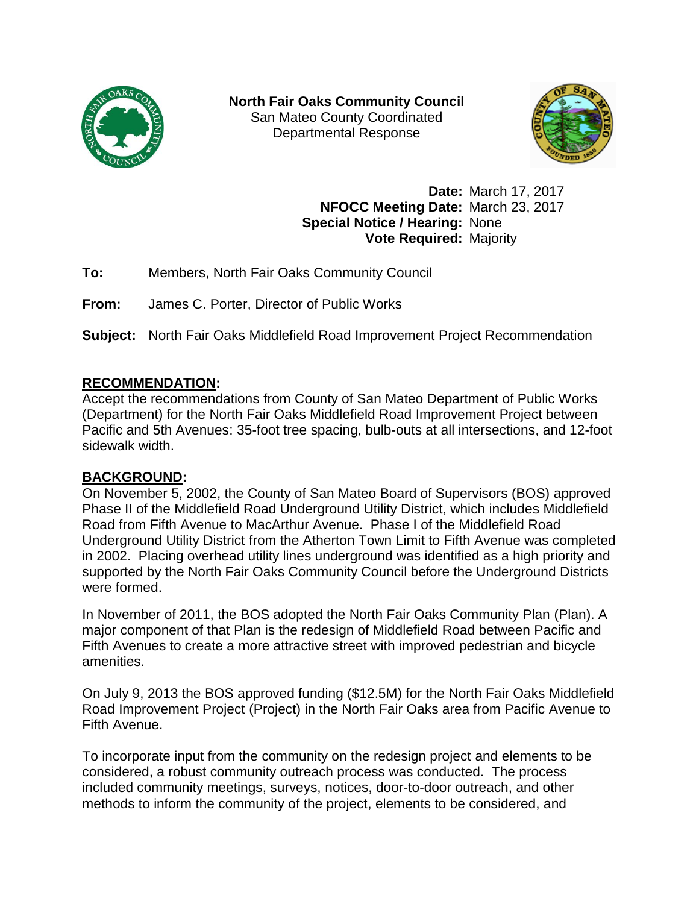

**North Fair Oaks Community Council** San Mateo County Coordinated Departmental Response



**Date:** March 17, 2017 **NFOCC Meeting Date:** March 23, 2017 **Special Notice / Hearing:** None **Vote Required:** Majority

**To:** Members, North Fair Oaks Community Council

**From:** James C. Porter, Director of Public Works

**Subject:** North Fair Oaks Middlefield Road Improvement Project Recommendation

## **RECOMMENDATION:**

Accept the recommendations from County of San Mateo Department of Public Works (Department) for the North Fair Oaks Middlefield Road Improvement Project between Pacific and 5th Avenues: 35-foot tree spacing, bulb-outs at all intersections, and 12-foot sidewalk width.

## **BACKGROUND:**

On November 5, 2002, the County of San Mateo Board of Supervisors (BOS) approved Phase II of the Middlefield Road Underground Utility District, which includes Middlefield Road from Fifth Avenue to MacArthur Avenue. Phase I of the Middlefield Road Underground Utility District from the Atherton Town Limit to Fifth Avenue was completed in 2002. Placing overhead utility lines underground was identified as a high priority and supported by the North Fair Oaks Community Council before the Underground Districts were formed.

In November of 2011, the BOS adopted the North Fair Oaks Community Plan (Plan). A major component of that Plan is the redesign of Middlefield Road between Pacific and Fifth Avenues to create a more attractive street with improved pedestrian and bicycle amenities.

On July 9, 2013 the BOS approved funding (\$12.5M) for the North Fair Oaks Middlefield Road Improvement Project (Project) in the North Fair Oaks area from Pacific Avenue to Fifth Avenue.

To incorporate input from the community on the redesign project and elements to be considered, a robust community outreach process was conducted. The process included community meetings, surveys, notices, door-to-door outreach, and other methods to inform the community of the project, elements to be considered, and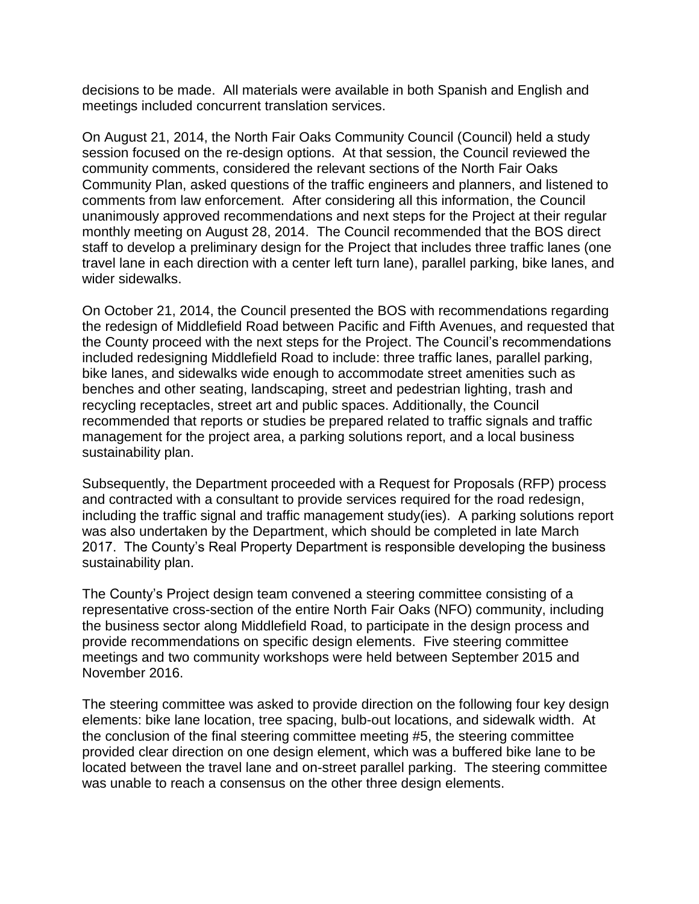decisions to be made. All materials were available in both Spanish and English and meetings included concurrent translation services.

On August 21, 2014, the North Fair Oaks Community Council (Council) held a study session focused on the re-design options. At that session, the Council reviewed the community comments, considered the relevant sections of the North Fair Oaks Community Plan, asked questions of the traffic engineers and planners, and listened to comments from law enforcement. After considering all this information, the Council unanimously approved recommendations and next steps for the Project at their regular monthly meeting on August 28, 2014. The Council recommended that the BOS direct staff to develop a preliminary design for the Project that includes three traffic lanes (one travel lane in each direction with a center left turn lane), parallel parking, bike lanes, and wider sidewalks.

On October 21, 2014, the Council presented the BOS with recommendations regarding the redesign of Middlefield Road between Pacific and Fifth Avenues, and requested that the County proceed with the next steps for the Project. The Council's recommendations included redesigning Middlefield Road to include: three traffic lanes, parallel parking, bike lanes, and sidewalks wide enough to accommodate street amenities such as benches and other seating, landscaping, street and pedestrian lighting, trash and recycling receptacles, street art and public spaces. Additionally, the Council recommended that reports or studies be prepared related to traffic signals and traffic management for the project area, a parking solutions report, and a local business sustainability plan.

Subsequently, the Department proceeded with a Request for Proposals (RFP) process and contracted with a consultant to provide services required for the road redesign, including the traffic signal and traffic management study(ies). A parking solutions report was also undertaken by the Department, which should be completed in late March 2017. The County's Real Property Department is responsible developing the business sustainability plan.

The County's Project design team convened a steering committee consisting of a representative cross-section of the entire North Fair Oaks (NFO) community, including the business sector along Middlefield Road, to participate in the design process and provide recommendations on specific design elements. Five steering committee meetings and two community workshops were held between September 2015 and November 2016.

The steering committee was asked to provide direction on the following four key design elements: bike lane location, tree spacing, bulb-out locations, and sidewalk width. At the conclusion of the final steering committee meeting #5, the steering committee provided clear direction on one design element, which was a buffered bike lane to be located between the travel lane and on-street parallel parking. The steering committee was unable to reach a consensus on the other three design elements.